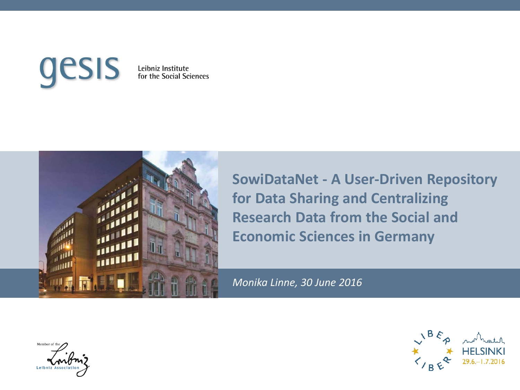#### gesis Leibniz Institute<br>for the Social Sciences



**SowiDataNet - A User-Driven Repository for Data Sharing and Centralizing Research Data from the Social and Economic Sciences in Germany** 

*Monika Linne, 30 June 2016*

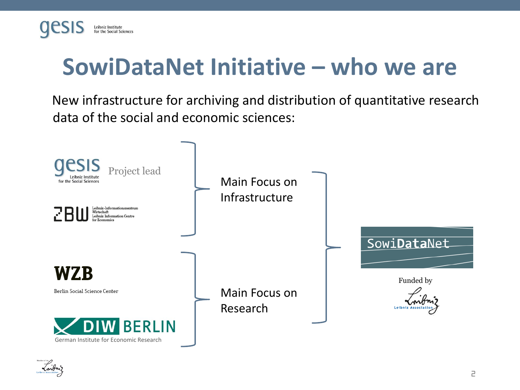## **SowiDataNet Initiative – who we are**

New infrastructure for archiving and distribution of quantitative research data of the social and economic sciences:



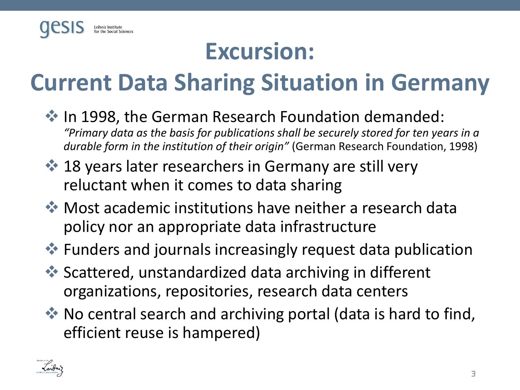

## **Excursion:**

# **Current Data Sharing Situation in Germany**

- $\cdot$  In 1998, the German Research Foundation demanded: *"Primary data as the basis for publications shall be securely stored for ten years in a durable form in the institution of their origin"* (German Research Foundation, 1998)
- **♦ 18 years later researchers in Germany are still very** reluctant when it comes to data sharing
- Most academic institutions have neither a research data policy nor an appropriate data infrastructure
- **EX** Funders and journals increasingly request data publication
- **<sup>◆</sup> Scattered, unstandardized data archiving in different** organizations, repositories, research data centers
- ◆ No central search and archiving portal (data is hard to find, efficient reuse is hampered)

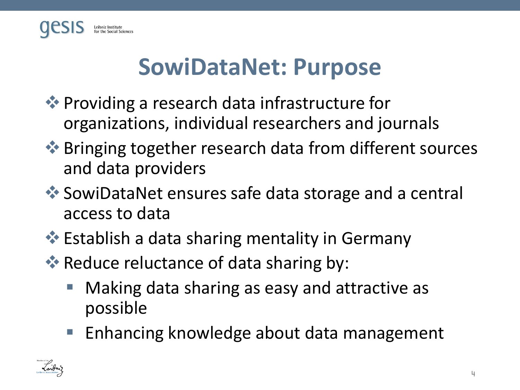

## **SowiDataNet: Purpose**

- ◆ Providing a research data infrastructure for organizations, individual researchers and journals
- **◆ Bringing together research data from different sources** and data providers
- SowiDataNet ensures safe data storage and a central access to data
- **Establish a data sharing mentality in Germany**
- Reduce reluctance of data sharing by:
	- Making data sharing as easy and attractive as possible
	- **Enhancing knowledge about data management**

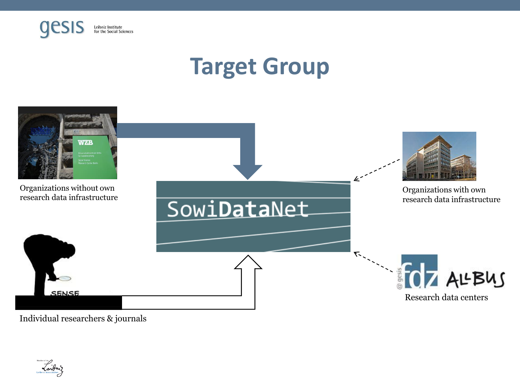

## **Target Group**



Individual researchers & journals

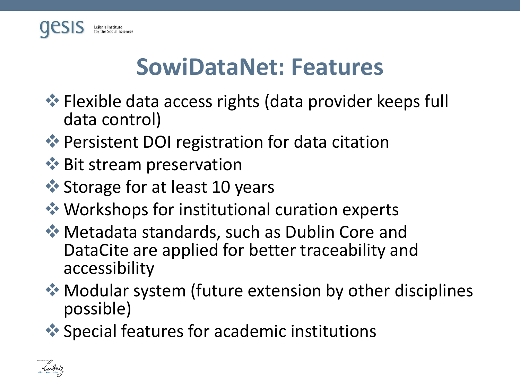

#### **SowiDataNet: Features**

- **Example 3 Fights (data provider keeps full** and the central metal of the Resetion of the Resetion of the Resetion of the Resetion of the Resetion of the Resetion of the Resetion of the Resetion of The Resetion of The Res data control)
- ◆ Persistent DOI registration for data citation
- **◆ Bit stream preservation**
- **◆ Storage for at least 10 years**
- ◆ Workshops for institutional curation experts
- ◆ Metadata standards, such as Dublin Core and DataCite are applied for better traceability and accessibility
- ◆ Modular system (future extension by other disciplines possible)
- ◆ Special features for academic institutions

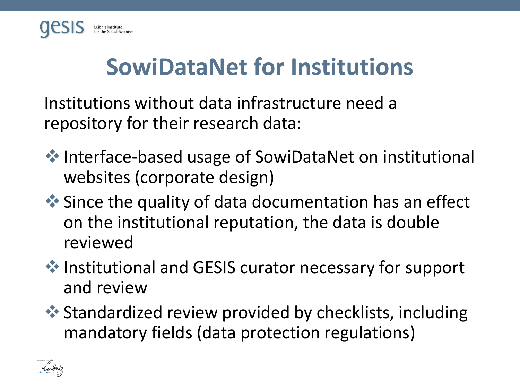

## **SowiDataNet for Institutions**

Institutions without data infrastructure need a repository for their research data:

- ◆ Interface-based usage of SowiDataNet on institutional websites (corporate design)
- ◆ Since the quality of data documentation has an effect on the institutional reputation, the data is double reviewed
- ◆ Institutional and GESIS curator necessary for support and review
- **<sup>◆</sup> Standardized review provided by checklists, including** mandatory fields (data protection regulations)

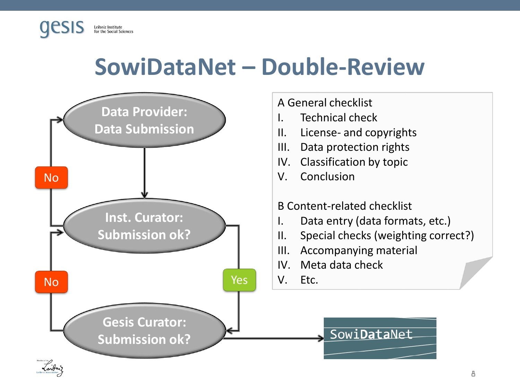### **SowiDataNet – Double-Review**

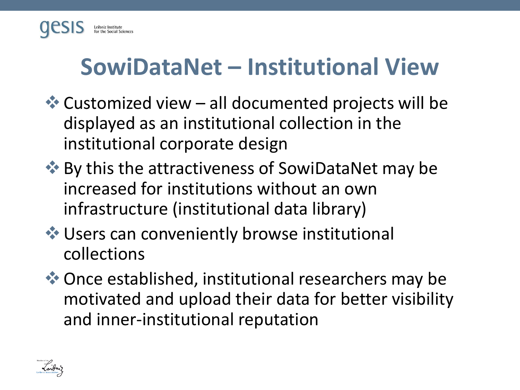

## **SowiDataNet – Institutional View**

- $\triangleleft$  Customized view all documented projects will be displayed as an institutional collection in the institutional corporate design
- ◆ By this the attractiveness of SowiDataNet may be increased for institutions without an own infrastructure (institutional data library)
- Users can conveniently browse institutional collections
- ◆ Once established, institutional researchers may be motivated and upload their data for better visibility and inner-institutional reputation

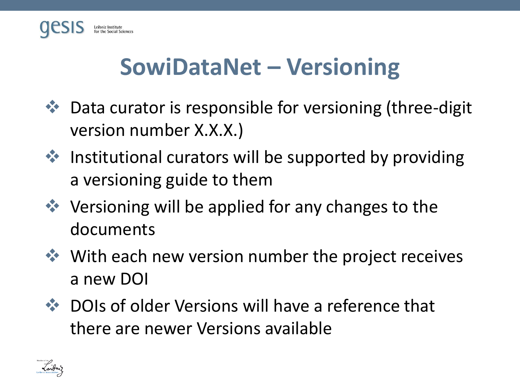

## **SowiDataNet – Versioning**

- Data curator is responsible for versioning (three-digit version number X.X.X.)
- $\cdot$  Institutional curators will be supported by providing a versioning guide to them
- $\cdot$  Versioning will be applied for any changes to the documents
- **◆ With each new version number the project receives** a new DOI
- **◆ DOIs of older Versions will have a reference that** there are newer Versions available

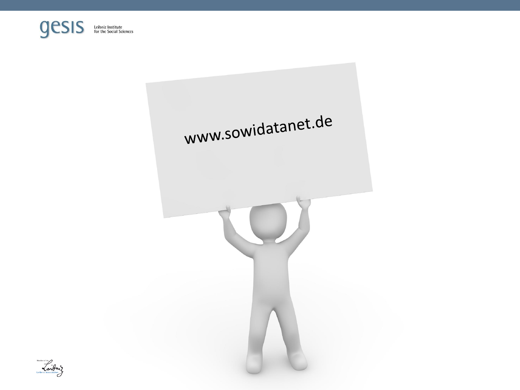